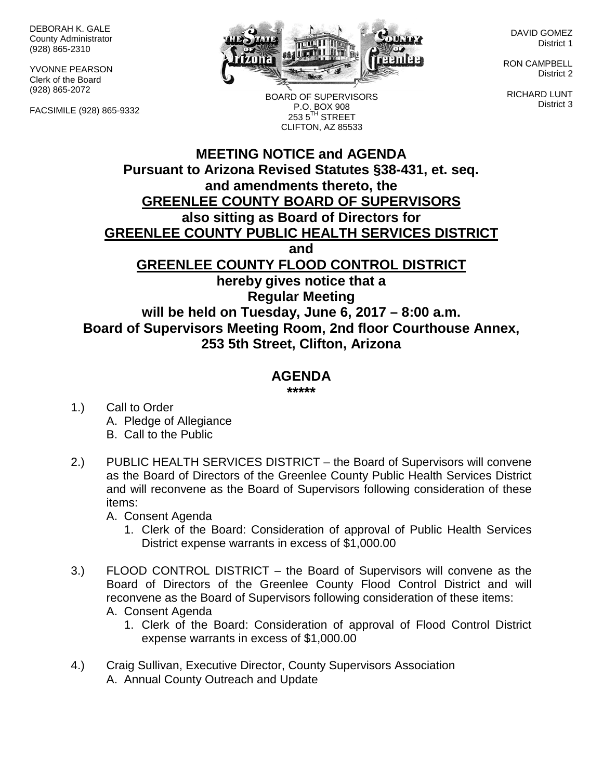DEBORAH K. GALE County Administrator (928) 865-2310

YVONNE PEARSON Clerk of the Board (928) 865-2072

FACSIMILE (928) 865-9332



BOARD OF SUPERVISORS P.O. BOX 908  $2535^{\text{TH}}$  STREET

DAVID GOMEZ District 1

RON CAMPBELL District 2

RICHARD LUNT District 3

## **MEETING NOTICE and AGENDA Pursuant to Arizona Revised Statutes §38-431, et. seq. and amendments thereto, the GREENLEE COUNTY BOARD OF SUPERVISORS also sitting as Board of Directors for GREENLEE COUNTY PUBLIC HEALTH SERVICES DISTRICT and GREENLEE COUNTY FLOOD CONTROL DISTRICT hereby gives notice that a Regular Meeting will be held on Tuesday, June 6, 2017 – 8:00 a.m. Board of Supervisors Meeting Room, 2nd floor Courthouse Annex, 253 5th Street, Clifton, Arizona** CLIFTON, AZ 85533

## **AGENDA**

**\*\*\*\*\***

- 1.) Call to Order A. Pledge of Allegiance B. Call to the Public
- 2.) PUBLIC HEALTH SERVICES DISTRICT the Board of Supervisors will convene as the Board of Directors of the Greenlee County Public Health Services District and will reconvene as the Board of Supervisors following consideration of these items:

A. Consent Agenda

- 1. Clerk of the Board: Consideration of approval of Public Health Services District expense warrants in excess of \$1,000.00
- 3.) FLOOD CONTROL DISTRICT the Board of Supervisors will convene as the Board of Directors of the Greenlee County Flood Control District and will reconvene as the Board of Supervisors following consideration of these items: A. Consent Agenda
	- 1. Clerk of the Board: Consideration of approval of Flood Control District expense warrants in excess of \$1,000.00
- 4.) Craig Sullivan, Executive Director, County Supervisors Association A. Annual County Outreach and Update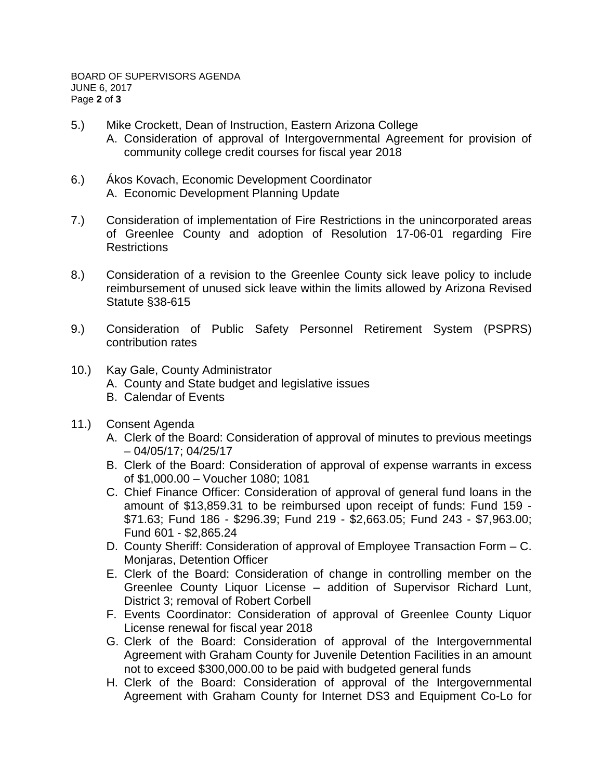- 5.) Mike Crockett, Dean of Instruction, Eastern Arizona College
	- A. Consideration of approval of Intergovernmental Agreement for provision of community college credit courses for fiscal year 2018
- 6.) Ákos Kovach, Economic Development Coordinator A. Economic Development Planning Update
- 7.) Consideration of implementation of Fire Restrictions in the unincorporated areas of Greenlee County and adoption of Resolution 17-06-01 regarding Fire Restrictions
- 8.) Consideration of a revision to the Greenlee County sick leave policy to include reimbursement of unused sick leave within the limits allowed by Arizona Revised Statute §38-615
- 9.) Consideration of Public Safety Personnel Retirement System (PSPRS) contribution rates
- 10.) Kay Gale, County Administrator A. County and State budget and legislative issues B. Calendar of Events
- 11.) Consent Agenda
	- A. Clerk of the Board: Consideration of approval of minutes to previous meetings – 04/05/17; 04/25/17
	- B. Clerk of the Board: Consideration of approval of expense warrants in excess of \$1,000.00 – Voucher 1080; 1081
	- C. Chief Finance Officer: Consideration of approval of general fund loans in the amount of \$13,859.31 to be reimbursed upon receipt of funds: Fund 159 - \$71.63; Fund 186 - \$296.39; Fund 219 - \$2,663.05; Fund 243 - \$7,963.00; Fund 601 - \$2,865.24
	- D. County Sheriff: Consideration of approval of Employee Transaction Form C. Monjaras, Detention Officer
	- E. Clerk of the Board: Consideration of change in controlling member on the Greenlee County Liquor License – addition of Supervisor Richard Lunt, District 3; removal of Robert Corbell
	- F. Events Coordinator: Consideration of approval of Greenlee County Liquor License renewal for fiscal year 2018
	- G. Clerk of the Board: Consideration of approval of the Intergovernmental Agreement with Graham County for Juvenile Detention Facilities in an amount not to exceed \$300,000.00 to be paid with budgeted general funds
	- H. Clerk of the Board: Consideration of approval of the Intergovernmental Agreement with Graham County for Internet DS3 and Equipment Co-Lo for